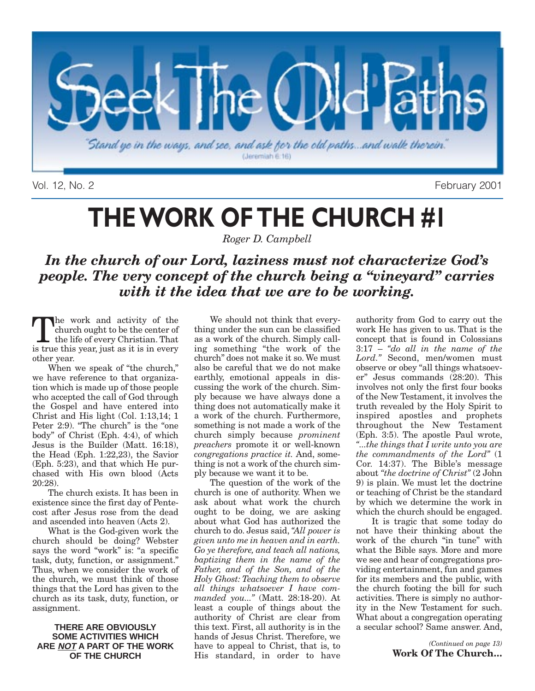

Vol. 12, No. 2 February 2001

# **THE WORK OF THE CHURCH #1**

*Roger D. Campbell*

### *In the church of our Lord, laziness must not characterize God's people. The very concept of the church being a "vineyard" carries with it the idea that we are to be working.*

the work and activity of the church ought to be the center of the life of every Christian. That is true this year, just as it is in every other year.

When we speak of "the church," we have reference to that organization which is made up of those people who accepted the call of God through the Gospel and have entered into Christ and His light (Col. 1:13,14; 1 Peter 2:9). "The church" is the "one body" of Christ (Eph. 4:4), of which Jesus is the Builder (Matt. 16:18), the Head (Eph. 1:22,23), the Savior (Eph. 5:23), and that which He purchased with His own blood (Acts 20:28).

The church exists. It has been in existence since the first day of Pentecost after Jesus rose from the dead and ascended into heaven (Acts 2).

What is the God-given work the church should be doing? Webster says the word "work" is: "a specific task, duty, function, or assignment." Thus, when we consider the work of the church, we must think of those things that the Lord has given to the church as its task, duty, function, or assignment.

#### **THERE ARE OBVIOUSLY SOME ACTIVITIES WHICH ARE NOT A PART OF THE WORK OF THE CHURCH**

We should not think that everything under the sun can be classified as a work of the church. Simply calling something "the work of the church" does not make it so. We must also be careful that we do not make earthly, emotional appeals in discussing the work of the church. Simply because we have always done a thing does not automatically make it a work of the church. Furthermore, something is not made a work of the church simply because *prominent preachers* promote it or well-known *congregations practice it.* And, something is not a work of the church simply because we want it to be.

The question of the work of the church is one of authority. When we ask about what work the church ought to be doing, we are asking about what God has authorized the church to do. Jesus said, *"All power is given unto me in heaven and in earth. Go ye therefore, and teach all nations, baptizing them in the name of the Father, and of the Son, and of the Holy Ghost: Teaching them to observe all things whatsoever I have commanded you..."* (Matt. 28:18-20). At least a couple of things about the authority of Christ are clear from this text. First, all authority is in the hands of Jesus Christ. Therefore, we have to appeal to Christ, that is, to His standard, in order to have

authority from God to carry out the work He has given to us. That is the concept that is found in Colossians 3:17 – *"do all in the name of the Lord."* Second, men/women must observe or obey "all things whatsoever" Jesus commands (28:20). This involves not only the first four books of the New Testament, it involves the truth revealed by the Holy Spirit to inspired apostles and prophets throughout the New Testament (Eph. 3:5). The apostle Paul wrote, *"...the things that I write unto you are the commandments of the Lord"* (1 Cor. 14:37). The Bible's message about *"the doctrine of Christ"* (2 John 9) is plain. We must let the doctrine or teaching of Christ be the standard by which we determine the work in which the church should be engaged.

It is tragic that some today do not have their thinking about the work of the church "in tune" with what the Bible says. More and more we see and hear of congregations providing entertainment, fun and games for its members and the public, with the church footing the bill for such activities. There is simply no authority in the New Testament for such. What about a congregation operating a secular school? Same answer. And,

> *(Continued on page 13)* **Work Of The Church…**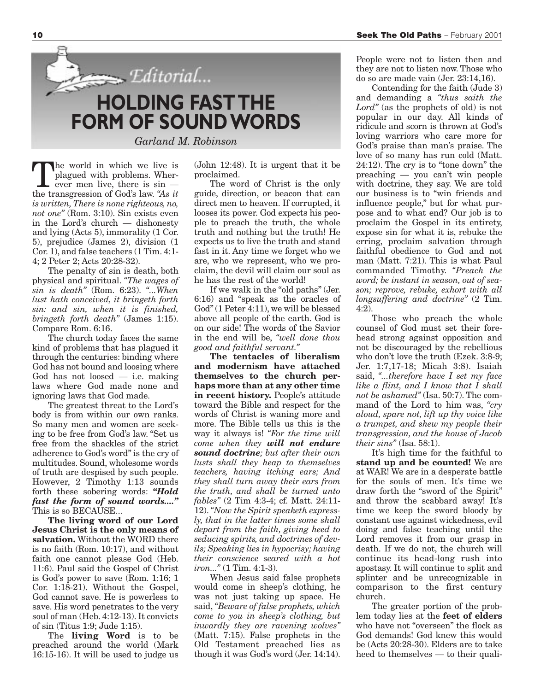

the world in which we live is plagued with problems. Wherever men live, there is sin the transgression of God's law. *"As it is written, There is none righteous, no, not one"* (Rom. 3:10). Sin exists even in the Lord's church — dishonesty and lying (Acts 5), immorality (1 Cor. 5), prejudice (James 2), division (1 Cor. 1), and false teachers (1 Tim. 4:1- 4; 2 Peter 2; Acts 20:28-32).

The penalty of sin is death, both physical and spiritual. *"The wages of sin is death"* (Rom. 6:23). *"...When lust hath conceived, it bringeth forth sin: and sin, when it is finished, bringeth forth death"* (James 1:15). Compare Rom. 6:16.

The church today faces the same kind of problems that has plagued it through the centuries: binding where God has not bound and loosing where God has not loosed — i.e. making laws where God made none and ignoring laws that God made.

The greatest threat to the Lord's body is from within our own ranks. So many men and women are seeking to be free from God's law. "Set us free from the shackles of the strict adherence to God's word" is the cry of multitudes. Sound, wholesome words of truth are despised by such people. However, 2 Timothy 1:13 sounds forth these sobering words: *"Hold fast the form of sound words...."* This is so BECAUSE...

**The living word of our Lord Jesus Christ is the only means of salvation.** Without the WORD there is no faith (Rom. 10:17), and without faith one cannot please God (Heb. 11:6). Paul said the Gospel of Christ is God's power to save (Rom. 1:16; 1 Cor. 1:18-21). Without the Gospel, God cannot save. He is powerless to save. His word penetrates to the very soul of man (Heb. 4:12-13). It convicts of sin (Titus 1:9; Jude 1:15).

The **living Word** is to be preached around the world (Mark 16:15-16). It will be used to judge us (John 12:48). It is urgent that it be proclaimed.

The word of Christ is the only guide, direction, or beacon that can direct men to heaven. If corrupted, it looses its power. God expects his people to preach the truth, the whole truth and nothing but the truth! He expects us to live the truth and stand fast in it. Any time we forget who we are, who we represent, who we proclaim, the devil will claim our soul as he has the rest of the world!

If we walk in the "old paths" (Jer. 6:16) and "speak as the oracles of God" (1 Peter 4:11), we will be blessed above all people of the earth. God is on our side! The words of the Savior in the end will be, *"well done thou good and faithful servant."*

**The tentacles of liberalism and modernism have attached themselves to the church perhaps more than at any other time in recent history.** People's attitude toward the Bible and respect for the words of Christ is waning more and more. The Bible tells us this is the way it always is! *"For the time will come when they will not endure sound doctrine; but after their own lusts shall they heap to themselves teachers, having itching ears; And they shall turn away their ears from the truth, and shall be turned unto fables"* (2 Tim 4:3-4; cf. Matt. 24:11- 12).*"Now the Spirit speaketh expressly, that in the latter times some shall depart from the faith, giving heed to seducing spirits, and doctrines of devils; Speaking lies in hypocrisy; having their conscience seared with a hot iron..."* (1 Tim. 4:1-3).

When Jesus said false prophets would come in sheep's clothing, he was not just taking up space. He said, *"Beware of false prophets, which come to you in sheep's clothing, but inwardly they are ravening wolves"* (Matt. 7:15). False prophets in the Old Testament preached lies as though it was God's word (Jer. 14:14). People were not to listen then and they are not to listen now. Those who do so are made vain (Jer. 23:14,16).

Contending for the faith (Jude 3) and demanding a *"thus saith the Lord"* (as the prophets of old) is not popular in our day. All kinds of ridicule and scorn is thrown at God's loving warriors who care more for God's praise than man's praise. The love of so many has run cold (Matt. 24:12). The cry is to "tone down" the preaching — you can't win people with doctrine, they say. We are told our business is to "win friends and influence people," but for what purpose and to what end? Our job is to proclaim the Gospel in its entirety, expose sin for what it is, rebuke the erring, proclaim salvation through faithful obedience to God and not man (Matt. 7:21). This is what Paul commanded Timothy. *"Preach the word; be instant in season, out of season; reprove, rebuke, exhort with all longsuffering and doctrine"* (2 Tim. 4:2).

Those who preach the whole counsel of God must set their forehead strong against opposition and not be discouraged by the rebellious who don't love the truth (Ezek. 3:8-9; Jer. 1:7,17-18; Micah 3:8). Isaiah said, *"...therefore have I set my face like a flint, and I know that I shall not be ashamed"* (Isa. 50:7). The command of the Lord to him was, *"cry aloud, spare not, lift up thy voice like a trumpet, and shew my people their transgression, and the house of Jacob their sins"* (Isa. 58:1).

It's high time for the faithful to **stand up and be counted!** We are at WAR! We are in a desperate battle for the souls of men. It's time we draw forth the "sword of the Spirit" and throw the scabbard away! It's time we keep the sword bloody by constant use against wickedness, evil doing and false teaching until the Lord removes it from our grasp in death. If we do not, the church will continue its head-long rush into apostasy. It will continue to split and splinter and be unrecognizable in comparison to the first century church.

The greater portion of the problem today lies at the **feet of elders** who have not "overseen" the flock as God demands! God knew this would be (Acts 20:28-30). Elders are to take heed to themselves — to their quali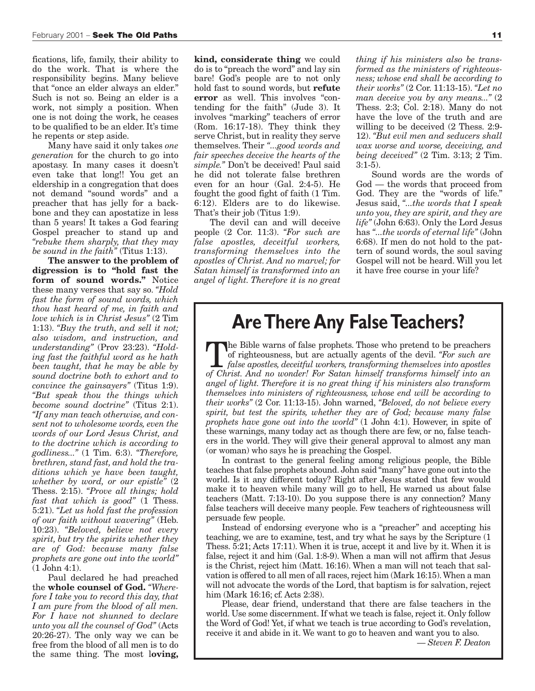fications, life, family, their ability to do the work. That is where the responsibility begins. Many believe that "once an elder always an elder." Such is not so. Being an elder is a work, not simply a position. When one is not doing the work, he ceases to be qualified to be an elder. It's time he repents or step aside.

Many have said it only takes *one generation* for the church to go into apostasy. In many cases it doesn't even take that long!! You get an eldership in a congregation that does not demand "sound words" and a preacher that has jelly for a backbone and they can apostatize in less than 5 years! It takes a God fearing Gospel preacher to stand up and *"rebuke them sharply, that they may be sound in the faith"* (Titus 1:13).

**The answer to the problem of digression is to "hold fast the form of sound words."** Notice these many verses that say so. *"Hold fast the form of sound words, which thou hast heard of me, in faith and love which is in Christ Jesus"* (2 Tim 1:13). *"Buy the truth, and sell it not; also wisdom, and instruction, and understanding"* (Prov 23:23). *"Holding fast the faithful word as he hath been taught, that he may be able by sound doctrine both to exhort and to convince the gainsayers"* (Titus 1:9). *"But speak thou the things which become sound doctrine"* (Titus 2:1). *"If any man teach otherwise, and consent not to wholesome words, even the words of our Lord Jesus Christ, and to the doctrine which is according to godliness..."* (1 Tim. 6:3). *"Therefore, brethren, stand fast, and hold the traditions which ye have been taught, whether by word, or our epistle"* (2 Thess. 2:15). *"Prove all things; hold fast that which is good"* (1 Thess. 5:21). *"Let us hold fast the profession of our faith without wavering"* (Heb. 10:23). *"Beloved, believe not every spirit, but try the spirits whether they are of God: because many false prophets are gone out into the world"* (1 John 4:1).

Paul declared he had preached the **whole counsel of God.** *"Wherefore I take you to record this day, that I am pure from the blood of all men. For I have not shunned to declare unto you all the counsel of God"* (Acts 20:26-27). The only way we can be free from the blood of all men is to do the same thing. The most l**oving,**

**kind, considerate thing** we could do is to "preach the word" and lay sin bare! God's people are to not only hold fast to sound words, but **refute error** as well. This involves "contending for the faith" (Jude 3). It involves "marking" teachers of error (Rom. 16:17-18). They think they serve Christ, but in reality they serve themselves. Their *"...good words and fair speeches deceive the hearts of the simple."* Don't be deceived! Paul said he did not tolerate false brethren even for an hour (Gal. 2:4-5). He fought the good fight of faith (1 Tim. 6:12). Elders are to do likewise. That's their job (Titus 1:9).

The devil can and will deceive people (2 Cor. 11:3). *"For such are false apostles, deceitful workers, transforming themselves into the apostles of Christ. And no marvel; for Satan himself is transformed into an angel of light. Therefore it is no great* *thing if his ministers also be transformed as the ministers of righteousness; whose end shall be according to their works"* (2 Cor. 11:13-15). *"Let no man deceive you by any means..."* (2 Thess. 2:3; Col. 2:18). Many do not have the love of the truth and are willing to be deceived (2 Thess. 2:9- 12). *"But evil men and seducers shall wax worse and worse, deceiving, and being deceived"* (2 Tim. 3:13; 2 Tim. 3:1-5).

Sound words are the words of God — the words that proceed from God. They are the "words of life." Jesus said, *"...the words that I speak unto you, they are spirit, and they are life"* (John 6:63). Only the Lord Jesus has *"...the words of eternal life"* (John 6:68). If men do not hold to the pattern of sound words, the soul saving Gospel will not be heard. Will you let it have free course in your life?

### **Are There Any False Teachers?**

The Bible warns of false prophets. Those who pretend to be preachers of righteousness, but are actually agents of the devil. *"For such are false apostles, deceitful workers, transforming themselves into apostles of Christ. And no wonder! For Satan himself transforms himself into an angel of light. Therefore it is no great thing if his ministers also transform themselves into ministers of righteousness, whose end will be according to their works"* (2 Cor. 11:13-15). John warned, *"Beloved, do not believe every spirit, but test the spirits, whether they are of God; because many false prophets have gone out into the world"* (1 John 4:1). However, in spite of these warnings, many today act as though there are few, or no, false teachers in the world. They will give their general approval to almost any man (or woman) who says he is preaching the Gospel.

In contrast to the general feeling among religious people, the Bible teaches that false prophets abound. John said "many" have gone out into the world. Is it any different today? Right after Jesus stated that few would make it to heaven while many will go to hell, He warned us about false teachers (Matt. 7:13-10). Do you suppose there is any connection? Many false teachers will deceive many people. Few teachers of righteousness will persuade few people.

Instead of endorsing everyone who is a "preacher" and accepting his teaching, we are to examine, test, and try what he says by the Scripture (1 Thess. 5:21; Acts 17:11). When it is true, accept it and live by it. When it is false, reject it and him (Gal. 1:8-9). When a man will not affirm that Jesus is the Christ, reject him (Matt. 16:16). When a man will not teach that salvation is offered to all men of all races, reject him (Mark 16:15). When a man will not advocate the words of the Lord, that baptism is for salvation, reject him (Mark 16:16; cf. Acts 2:38).

Please, dear friend, understand that there are false teachers in the world. Use some discernment. If what we teach is false, reject it. Only follow the Word of God! Yet, if what we teach is true according to God's revelation, receive it and abide in it. We want to go to heaven and want you to also.

— *Steven F. Deaton*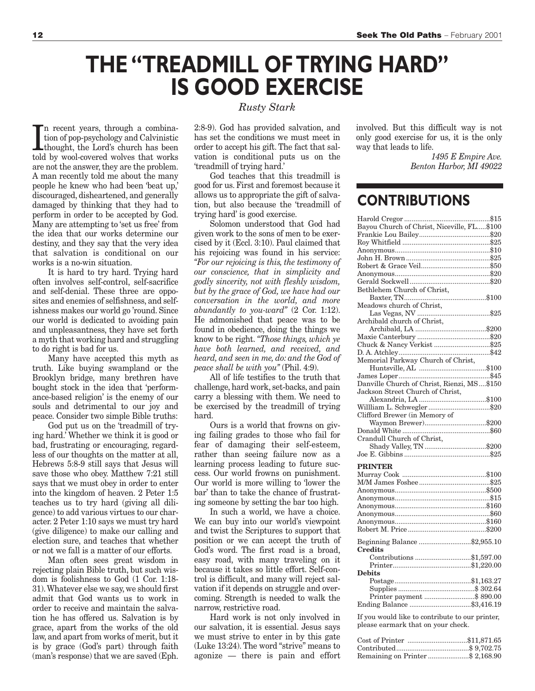## **THE "TREADMILL OF TRYING HARD" IS GOOD EXERCISE**

In recent years, through a combination of pop-psychology and Calvinistic<br>thought, the Lord's church has been<br>told by wool-covered wolves that works n recent years, through a combination of pop-psychology and Calvinistic thought, the Lord's church has been are not the answer, they are the problem. A man recently told me about the many people he knew who had been 'beat up,' discouraged, disheartened, and generally damaged by thinking that they had to perform in order to be accepted by God. Many are attempting to 'set us free' from the idea that our works determine our destiny, and they say that the very idea that salvation is conditional on our works is a no-win situation.

It is hard to try hard. Trying hard often involves self-control, self-sacrifice and self-denial. These three are opposites and enemies of selfishness, and selfishness makes our world go 'round. Since our world is dedicated to avoiding pain and unpleasantness, they have set forth a myth that working hard and struggling to do right is bad for us.

Many have accepted this myth as truth. Like buying swampland or the Brooklyn bridge, many brethren have bought stock in the idea that 'performance-based religion' is the enemy of our souls and detrimental to our joy and peace. Consider two simple Bible truths:

God put us on the 'treadmill of trying hard.' Whether we think it is good or bad, frustrating or encouraging, regardless of our thoughts on the matter at all, Hebrews 5:8-9 still says that Jesus will save those who obey. Matthew 7:21 still says that we must obey in order to enter into the kingdom of heaven. 2 Peter 1:5 teaches us to try hard (giving all diligence) to add various virtues to our character. 2 Peter 1:10 says we must try hard (give diligence) to make our calling and election sure, and teaches that whether or not we fall is a matter of our efforts.

Man often sees great wisdom in rejecting plain Bible truth, but such wisdom is foolishness to God (1 Cor. 1:18- 31).Whatever else we say, we should first admit that God wants us to work in order to receive and maintain the salvation he has offered us. Salvation is by grace, apart from the works of the old law, and apart from works of merit, but it is by grace (God's part) through faith (man's response) that we are saved (Eph.

#### *Rusty Stark*

2:8-9). God has provided salvation, and has set the conditions we must meet in order to accept his gift. The fact that salvation is conditional puts us on the 'treadmill of trying hard.'

God teaches that this treadmill is good for us. First and foremost because it allows us to appropriate the gift of salvation, but also because the 'treadmill of trying hard' is good exercise.

Solomon understood that God had given work to the sons of men to be exercised by it (Eccl. 3:10). Paul claimed that his rejoicing was found in his service: *"For our rejoicing is this, the testimony of our conscience, that in simplicity and godly sincerity, not with fleshly wisdom, but by the grace of God, we have had our conversation in the world, and more abundantly to you-ward"* (2 Cor. 1:12). He admonished that peace was to be found in obedience, doing the things we know to be right. *"Those things, which ye have both learned, and received, and heard, and seen in me, do: and the God of peace shall be with you"* (Phil. 4:9).

All of life testifies to the truth that challenge, hard work, set-backs, and pain carry a blessing with them. We need to be exercised by the treadmill of trying hard.

Ours is a world that frowns on giving failing grades to those who fail for fear of damaging their self-esteem, rather than seeing failure now as a learning process leading to future success. Our world frowns on punishment. Our world is more willing to 'lower the bar' than to take the chance of frustrating someone by setting the bar too high.

In such a world, we have a choice. We can buy into our world's viewpoint and twist the Scriptures to support that position or we can accept the truth of God's word. The first road is a broad, easy road, with many traveling on it because it takes so little effort. Self-control is difficult, and many will reject salvation if it depends on struggle and overcoming. Strength is needed to walk the narrow, restrictive road.

Hard work is not only involved in our salvation, it is essential. Jesus says we must strive to enter in by this gate (Luke 13:24). The word "strive" means to agonize — there is pain and effort involved. But this difficult way is not only good exercise for us, it is the only way that leads to life.

> *1495 E Empire Ave. Benton Harbor, MI 49022*

### **CONTRIBUTIONS**

| Bethlehem Church of Christ,                |
|--------------------------------------------|
|                                            |
| Meadows church of Christ,                  |
|                                            |
| Archibald church of Christ,                |
|                                            |
|                                            |
| Chuck & Nancy Verkist \$25                 |
|                                            |
| Memorial Parkway Church of Christ,         |
|                                            |
|                                            |
|                                            |
| Danville Church of Christ, Rienzi, MS\$150 |
| Jackson Street Church of Christ,           |
|                                            |
|                                            |
| Clifford Brewer (in Memory of              |
|                                            |
|                                            |
| Crandull Church of Christ,                 |
|                                            |
|                                            |
| <b>PRINTER</b>                             |
|                                            |
|                                            |
|                                            |
|                                            |
|                                            |
|                                            |
|                                            |
|                                            |
|                                            |
|                                            |
|                                            |
| Beginning Balance \$2,955.10<br>Credits    |
|                                            |
| Contributions \$1,597.00                   |
| Debits                                     |
|                                            |
|                                            |
|                                            |
|                                            |

If you would like to contribute to our printer, please earmark that on your check.

| Cost of Printer \$11,871.65     |  |
|---------------------------------|--|
|                                 |  |
| Remaining on Printer\$ 2,168.90 |  |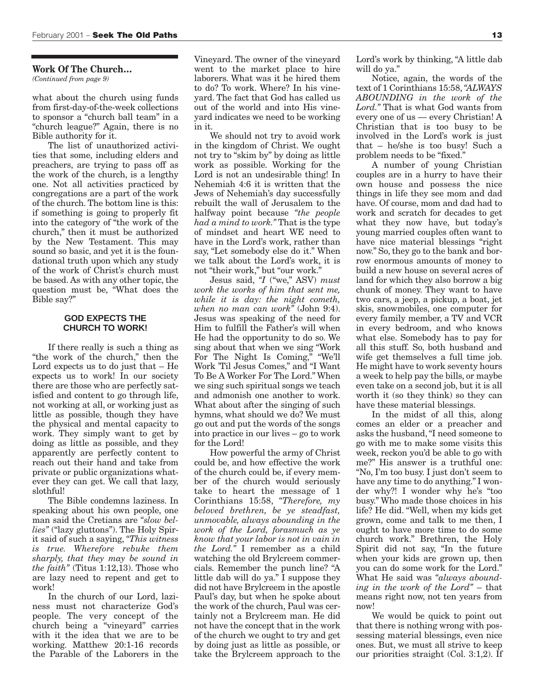#### **Work Of The Church…**

*(Continued from page 9)*

what about the church using funds from first-day-of-the-week collections to sponsor a "church ball team" in a "church league?" Again, there is no Bible authority for it.

The list of unauthorized activities that some, including elders and preachers, are trying to pass off as the work of the church, is a lengthy one. Not all activities practiced by congregations are a part of the work of the church. The bottom line is this: if something is going to properly fit into the category of "the work of the church," then it must be authorized by the New Testament. This may sound so basic, and yet it is the foundational truth upon which any study of the work of Christ's church must be based. As with any other topic, the question must be, "What does the Bible say?"

#### **GOD EXPECTS THE CHURCH TO WORK!**

If there really is such a thing as "the work of the church," then the Lord expects us to do just that – He expects us to work! In our society there are those who are perfectly satisfied and content to go through life, not working at all, or working just as little as possible, though they have the physical and mental capacity to work. They simply want to get by doing as little as possible, and they apparently are perfectly content to reach out their hand and take from private or public organizations whatever they can get. We call that lazy, slothful!

The Bible condemns laziness. In speaking about his own people, one man said the Cretians are *"slow bellies"* ("lazy gluttons"). The Holy Spirit said of such a saying, *"This witness is true. Wherefore rebuke them sharply, that they may be sound in the faith"* (Titus 1:12,13). Those who are lazy need to repent and get to work!

In the church of our Lord, laziness must not characterize God's people. The very concept of the church being a "vineyard" carries with it the idea that we are to be working. Matthew 20:1-16 records the Parable of the Laborers in the Vineyard. The owner of the vineyard went to the market place to hire laborers. What was it he hired them to do? To work. Where? In his vineyard. The fact that God has called us out of the world and into His vineyard indicates we need to be working in it.

We should not try to avoid work in the kingdom of Christ. We ought not try to "skim by" by doing as little work as possible. Working for the Lord is not an undesirable thing! In Nehemiah 4:6 it is written that the Jews of Nehemiah's day successfully rebuilt the wall of Jerusalem to the halfway point because *"the people had a mind to work."* That is the type of mindset and heart WE need to have in the Lord's work, rather than say, "Let somebody else do it." When we talk about the Lord's work, it is not "their work," but "our work."

Jesus said, *"I* ("we," ASV) *must work the works of him that sent me, while it is day: the night cometh, when no man can work"* (John 9:4). Jesus was speaking of the need for Him to fulfill the Father's will when He had the opportunity to do so. We sing about that when we sing "Work For The Night Is Coming," "We'll Work 'Til Jesus Comes," and "I Want To Be A Worker For The Lord." When we sing such spiritual songs we teach and admonish one another to work. What about after the singing of such hymns, what should we do? We must go out and put the words of the songs into practice in our lives – go to work for the Lord!

How powerful the army of Christ could be, and how effective the work of the church could be, if every member of the church would seriously take to heart the message of 1 Corinthians 15:58, *"Therefore, my beloved brethren, be ye steadfast, unmovable, always abounding in the work of the Lord, forasmuch as ye know that your labor is not in vain in the Lord."* I remember as a child watching the old Brylcreem commercials. Remember the punch line? "A little dab will do ya." I suppose they did not have Brylcreem in the apostle Paul's day, but when he spoke about the work of the church, Paul was certainly not a Brylcreem man. He did not have the concept that in the work of the church we ought to try and get by doing just as little as possible, or take the Brylcreem approach to the

Lord's work by thinking, "A little dab will do va."

Notice, again, the words of the text of 1 Corinthians 15:58,*"ALWAYS ABOUNDING in the work of the Lord."* That is what God wants from every one of us — every Christian! A Christian that is too busy to be involved in the Lord's work is just that – he/she is too busy! Such a problem needs to be "fixed."

A number of young Christian couples are in a hurry to have their own house and possess the nice things in life they see mom and dad have. Of course, mom and dad had to work and scratch for decades to get what they now have, but today's young married couples often want to have nice material blessings "right now." So, they go to the bank and borrow enormous amounts of money to build a new house on several acres of land for which they also borrow a big chunk of money. They want to have two cars, a jeep, a pickup, a boat, jet skis, snowmobiles, one computer for every family member, a TV and VCR in every bedroom, and who knows what else. Somebody has to pay for all this stuff. So, both husband and wife get themselves a full time job. He might have to work seventy hours a week to help pay the bills, or maybe even take on a second job, but it is all worth it (so they think) so they can have these material blessings.

In the midst of all this, along comes an elder or a preacher and asks the husband, "I need someone to go with me to make some visits this week, reckon you'd be able to go with me?" His answer is a truthful one: "No, I'm too busy. I just don't seem to have any time to do anything." I wonder why?! I wonder why he's "too busy." Who made those choices in his life? He did. "Well, when my kids get grown, come and talk to me then, I ought to have more time to do some church work." Brethren, the Holy Spirit did not say, "In the future when your kids are grown up, then you can do some work for the Lord." What He said was *"always abounding in the work of the Lord"* – that means right now, not ten years from now!

We would be quick to point out that there is nothing wrong with possessing material blessings, even nice ones. But, we must all strive to keep our priorities straight (Col. 3:1,2). If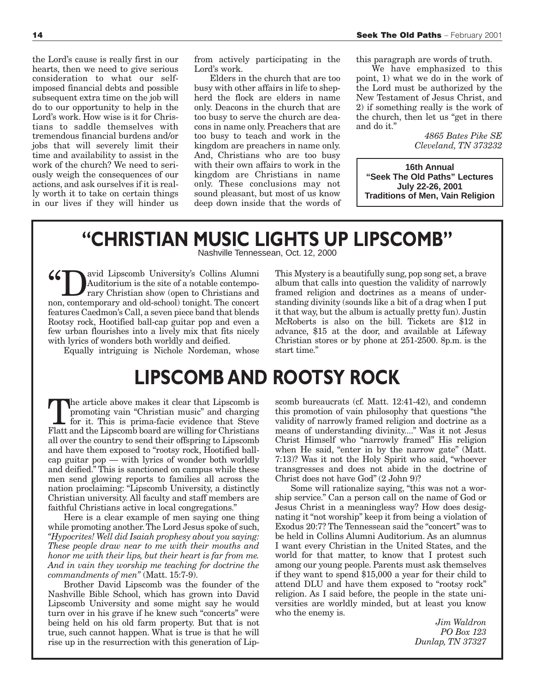the Lord's cause is really first in our hearts, then we need to give serious consideration to what our selfimposed financial debts and possible subsequent extra time on the job will do to our opportunity to help in the Lord's work. How wise is it for Christians to saddle themselves with tremendous financial burdens and/or jobs that will severely limit their time and availability to assist in the work of the church? We need to seriously weigh the consequences of our actions, and ask ourselves if it is really worth it to take on certain things in our lives if they will hinder us from actively participating in the Lord's work.

Elders in the church that are too busy with other affairs in life to shepherd the flock are elders in name only. Deacons in the church that are too busy to serve the church are deacons in name only. Preachers that are too busy to teach and work in the kingdom are preachers in name only. And, Christians who are too busy with their own affairs to work in the kingdom are Christians in name only. These conclusions may not sound pleasant, but most of us know deep down inside that the words of this paragraph are words of truth.

We have emphasized to this point, 1) what we do in the work of the Lord must be authorized by the New Testament of Jesus Christ, and 2) if something really is the work of the church, then let us "get in there and do it."

> *4865 Bates Pike SE Cleveland, TN 373232*

**16th Annual "Seek The Old Paths" Lectures July 22-26, 2001 Traditions of Men, Vain Religion**

### **"CHRISTIAN MUSIC LIGHTS UP LIPSCOMB"**

Nashville Tennessean, Oct. 12, 2000

(1898) Auditorium is the site of a notable contemporary Christian show (open to Christians and non-contemporary and old-school) tonight. The concert Auditorium is the site of a notable contemporary Christian show (open to Christians and non, contemporary and old-school) tonight. The concert features Caedmon's Call, a seven piece band that blends Rootsy rock, Hootified ball-cap guitar pop and even a few urban flourishes into a lively mix that fits nicely with lyrics of wonders both worldly and deified.

Equally intriguing is Nichole Nordeman, whose

### **LIPSCOMB AND ROOTSY ROCK**

The article above makes it clear that Lipscomb is<br>promoting vain "Christian music" and charging<br>for it. This is prima-facie evidence that Steve<br>Flatt and the Lipscomb board are willing for Christians promoting vain "Christian music" and charging Flatt and the Lipscomb board are willing for Christians all over the country to send their offspring to Lipscomb and have them exposed to "rootsy rock, Hootified ballcap guitar pop — with lyrics of wonder both worldly and deified." This is sanctioned on campus while these men send glowing reports to families all across the nation proclaiming: "Lipscomb University, a distinctly Christian university. All faculty and staff members are faithful Christians active in local congregations."

Here is a clear example of men saying one thing while promoting another.The Lord Jesus spoke of such, *"Hypocrites! Well did Isaiah prophesy about you saying: These people draw near to me with their mouths and honor me with their lips, but their heart is far from me. And in vain they worship me teaching for doctrine the commandments of men"* (Matt. 15:7-9).

Brother David Lipscomb was the founder of the Nashville Bible School, which has grown into David Lipscomb University and some might say he would turn over in his grave if he knew such "concerts" were being held on his old farm property. But that is not true, such cannot happen. What is true is that he will rise up in the resurrection with this generation of LipThis Mystery is a beautifully sung, pop song set, a brave album that calls into question the validity of narrowly framed religion and doctrines as a means of understanding divinity (sounds like a bit of a drag when I put it that way, but the album is actually pretty fun). Justin McRoberts is also on the bill. Tickets are \$12 in advance, \$15 at the door, and available at Lifeway Christian stores or by phone at 251-2500. 8p.m. is the start time."

scomb bureaucrats (cf. Matt. 12:41-42), and condemn this promotion of vain philosophy that questions "the validity of narrowly framed religion and doctrine as a means of understanding divinity...." Was it not Jesus Christ Himself who "narrowly framed" His religion when He said, "enter in by the narrow gate" (Matt. 7:13)? Was it not the Holy Spirit who said, "whoever transgresses and does not abide in the doctrine of Christ does not have God" (2 John 9)?

Some will rationalize saying, "this was not a worship service." Can a person call on the name of God or Jesus Christ in a meaningless way? How does designating it "not worship" keep it from being a violation of Exodus 20:7? The Tennessean said the "concert" was to be held in Collins Alumni Auditorium. As an alumnus I want every Christian in the United States, and the world for that matter, to know that I protest such among our young people. Parents must ask themselves if they want to spend \$15,000 a year for their child to attend DLU and have them exposed to "rootsy rock" religion. As I said before, the people in the state universities are worldly minded, but at least you know who the enemy is.

> *Jim Waldron PO Box 123 Dunlap, TN 37327*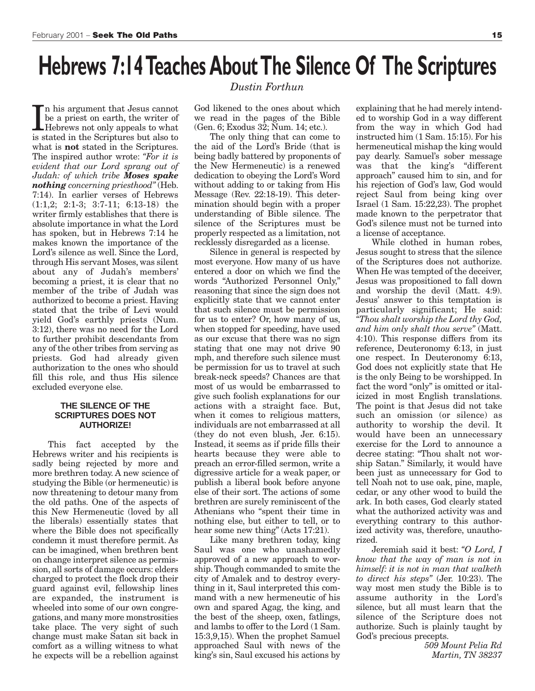## **Hebrews 7:14 Teaches About The Silence Of The Scriptures**

In his argument that Jesus cannot<br>be a priest on earth, the writer of<br>Hebrews not only appeals to what<br>is stated in the Scriptures but also to n his argument that Jesus cannot be a priest on earth, the writer of is stated in the Scriptures but also to what is **not** stated in the Scriptures. The inspired author wrote: *"For it is evident that our Lord sprang out of Judah: of which tribe Moses spake nothing concerning priesthood"* (Heb. 7:14). In earlier verses of Hebrews (1:1,2; 2:1-3; 3:7-11; 6:13-18) the writer firmly establishes that there is absolute importance in what the Lord has spoken, but in Hebrews 7:14 he makes known the importance of the Lord's silence as well. Since the Lord, through His servant Moses, was silent about any of Judah's members' becoming a priest, it is clear that no member of the tribe of Judah was authorized to become a priest. Having stated that the tribe of Levi would yield God's earthly priests (Num. 3:12), there was no need for the Lord to further prohibit descendants from any of the other tribes from serving as priests. God had already given authorization to the ones who should fill this role, and thus His silence excluded everyone else.

#### **THE SILENCE OF THE SCRIPTURES DOES NOT AUTHORIZE!**

This fact accepted by the Hebrews writer and his recipients is sadly being rejected by more and more brethren today. A new science of studying the Bible (or hermeneutic) is now threatening to detour many from the old paths. One of the aspects of this New Hermeneutic (loved by all the liberals) essentially states that where the Bible does not specifically condemn it must therefore permit. As can be imagined, when brethren bent on change interpret silence as permission, all sorts of damage occurs: elders charged to protect the flock drop their guard against evil, fellowship lines are expanded, the instrument is wheeled into some of our own congregations, and many more monstrosities take place. The very sight of such change must make Satan sit back in comfort as a willing witness to what he expects will be a rebellion against

#### *Dustin Forthun*

God likened to the ones about which we read in the pages of the Bible (Gen. 6; Exodus 32; Num. 14; etc.).

The only thing that can come to the aid of the Lord's Bride (that is being badly battered by proponents of the New Hermeneutic) is a renewed dedication to obeying the Lord's Word without adding to or taking from His Message (Rev. 22:18-19). This determination should begin with a proper understanding of Bible silence. The silence of the Scriptures must be properly respected as a limitation, not recklessly disregarded as a license.

Silence in general is respected by most everyone. How many of us have entered a door on which we find the words "Authorized Personnel Only," reasoning that since the sign does not explicitly state that we cannot enter that such silence must be permission for us to enter? Or, how many of us, when stopped for speeding, have used as our excuse that there was no sign stating that one may not drive 90 mph, and therefore such silence must be permission for us to travel at such break-neck speeds? Chances are that most of us would be embarrassed to give such foolish explanations for our actions with a straight face. But, when it comes to religious matters, individuals are not embarrassed at all (they do not even blush, Jer. 6:15). Instead, it seems as if pride fills their hearts because they were able to preach an error-filled sermon, write a digressive article for a weak paper, or publish a liberal book before anyone else of their sort. The actions of some brethren are surely reminiscent of the Athenians who "spent their time in nothing else, but either to tell, or to hear some new thing" (Acts 17:21).

Like many brethren today, king Saul was one who unashamedly approved of a new approach to worship. Though commanded to smite the city of Amalek and to destroy everything in it, Saul interpreted this command with a new hermeneutic of his own and spared Agag, the king, and the best of the sheep, oxen, fatlings, and lambs to offer to the Lord (1 Sam. 15:3,9,15). When the prophet Samuel approached Saul with news of the king's sin, Saul excused his actions by

explaining that he had merely intended to worship God in a way different from the way in which God had instructed him (1 Sam. 15:15). For his hermeneutical mishap the king would pay dearly. Samuel's sober message was that the king's "different approach" caused him to sin, and for his rejection of God's law, God would reject Saul from being king over Israel (1 Sam. 15:22,23). The prophet made known to the perpetrator that God's silence must not be turned into a license of acceptance.

While clothed in human robes, Jesus sought to stress that the silence of the Scriptures does not authorize. When He was tempted of the deceiver, Jesus was propositioned to fall down and worship the devil (Matt. 4:9). Jesus' answer to this temptation is particularly significant; He said: *"Thou shalt worship the Lord thy God, and him only shalt thou serve"* (Matt. 4:10). This response differs from its reference, Deuteronomy 6:13, in just one respect. In Deuteronomy 6:13, God does not explicitly state that He is the only Being to be worshipped. In fact the word "only" is omitted or italicized in most English translations. The point is that Jesus did not take such an omission (or silence) as authority to worship the devil. It would have been an unnecessary exercise for the Lord to announce a decree stating: "Thou shalt not worship Satan." Similarly, it would have been just as unnecessary for God to tell Noah not to use oak, pine, maple, cedar, or any other wood to build the ark. In both cases, God clearly stated what the authorized activity was and everything contrary to this authorized activity was, therefore, unauthorized.

Jeremiah said it best: *"O Lord, I know that the way of man is not in himself: it is not in man that walketh to direct his steps"* (Jer. 10:23). The way most men study the Bible is to assume authority in the Lord's silence, but all must learn that the silence of the Scripture does not authorize. Such is plainly taught by God's precious precepts.

> *509 Mount Pelia Rd Martin, TN 38237*